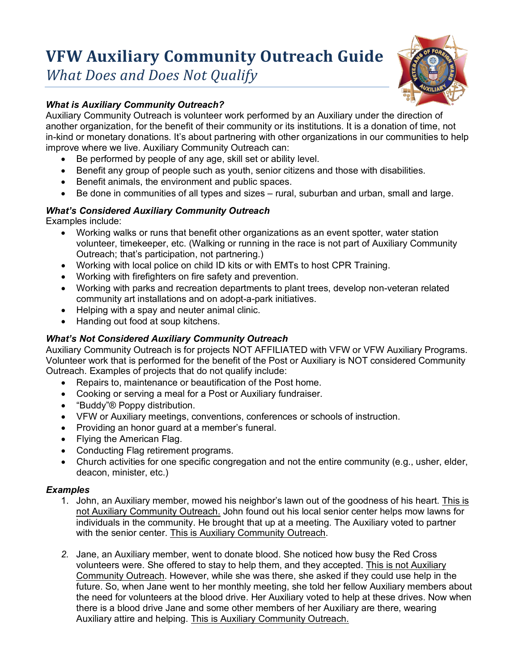# **VFW Auxiliary Community Outreach Guide**

*What Does and Does Not Qualify*

# *What is Auxiliary Community Outreach?*

Auxiliary Community Outreach is volunteer work performed by an Auxiliary under the direction of another organization, for the benefit of their community or its institutions. It is a donation of time, not in-kind or monetary donations. It's about partnering with other organizations in our communities to help improve where we live. Auxiliary Community Outreach can:

- Be performed by people of any age, skill set or ability level.
- Benefit any group of people such as youth, senior citizens and those with disabilities.
- Benefit animals, the environment and public spaces.
- Be done in communities of all types and sizes rural, suburban and urban, small and large.

## *What's Considered Auxiliary Community Outreach*

Examples include:

- Working walks or runs that benefit other organizations as an event spotter, water station volunteer, timekeeper, etc. (Walking or running in the race is not part of Auxiliary Community Outreach; that's participation, not partnering.)
- Working with local police on child ID kits or with EMTs to host CPR Training.
- Working with firefighters on fire safety and prevention.
- Working with parks and recreation departments to plant trees, develop non-veteran related community art installations and on adopt-a-park initiatives.
- Helping with a spay and neuter animal clinic.
- Handing out food at soup kitchens.

### *What's Not Considered Auxiliary Community Outreach*

Auxiliary Community Outreach is for projects NOT AFFILIATED with VFW or VFW Auxiliary Programs. Volunteer work that is performed for the benefit of the Post or Auxiliary is NOT considered Community Outreach. Examples of projects that do not qualify include:

- Repairs to, maintenance or beautification of the Post home.
- Cooking or serving a meal for a Post or Auxiliary fundraiser.
- "Buddy"® Poppy distribution.
- VFW or Auxiliary meetings, conventions, conferences or schools of instruction.
- Providing an honor guard at a member's funeral.
- Flying the American Flag.
- Conducting Flag retirement programs.
- Church activities for one specific congregation and not the entire community (e.g., usher, elder, deacon, minister, etc.)

#### *Examples*

- 1. John, an Auxiliary member, mowed his neighbor's lawn out of the goodness of his heart. This is not Auxiliary Community Outreach. John found out his local senior center helps mow lawns for individuals in the community. He brought that up at a meeting. The Auxiliary voted to partner with the senior center. This is Auxiliary Community Outreach.
- *2.* Jane, an Auxiliary member, went to donate blood. She noticed how busy the Red Cross volunteers were. She offered to stay to help them, and they accepted. This is not Auxiliary Community Outreach. However, while she was there, she asked if they could use help in the future. So, when Jane went to her monthly meeting, she told her fellow Auxiliary members about the need for volunteers at the blood drive. Her Auxiliary voted to help at these drives. Now when there is a blood drive Jane and some other members of her Auxiliary are there, wearing Auxiliary attire and helping. This is Auxiliary Community Outreach.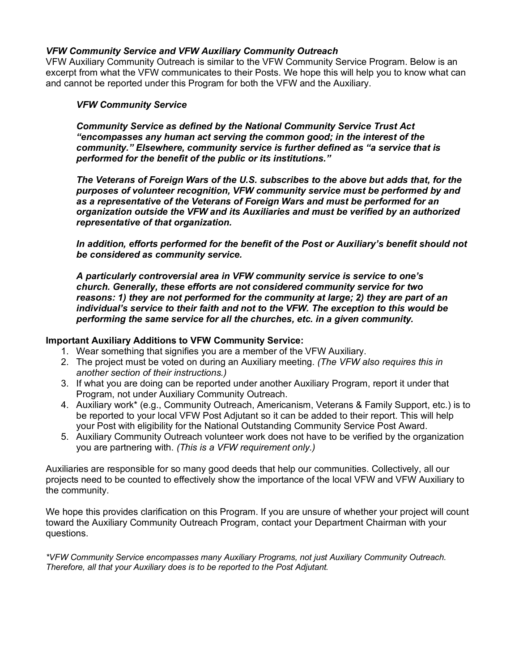#### *VFW Community Service and VFW Auxiliary Community Outreach*

VFW Auxiliary Community Outreach is similar to the VFW Community Service Program. Below is an excerpt from what the VFW communicates to their Posts. We hope this will help you to know what can and cannot be reported under this Program for both the VFW and the Auxiliary.

#### *VFW Community Service*

*Community Service as defined by the National Community Service Trust Act "encompasses any human act serving the common good; in the interest of the community." Elsewhere, community service is further defined as "a service that is performed for the benefit of the public or its institutions."*

*The Veterans of Foreign Wars of the U.S. subscribes to the above but adds that, for the purposes of volunteer recognition, VFW community service must be performed by and as a representative of the Veterans of Foreign Wars and must be performed for an organization outside the VFW and its Auxiliaries and must be verified by an authorized representative of that organization.*

*In addition, efforts performed for the benefit of the Post or Auxiliary's benefit should not be considered as community service.* 

*A particularly controversial area in VFW community service is service to one's church. Generally, these efforts are not considered community service for two reasons: 1) they are not performed for the community at large; 2) they are part of an individual's service to their faith and not to the VFW. The exception to this would be performing the same service for all the churches, etc. in a given community.*

#### **Important Auxiliary Additions to VFW Community Service:**

- 1. Wear something that signifies you are a member of the VFW Auxiliary.
- 2. The project must be voted on during an Auxiliary meeting. *(The VFW also requires this in another section of their instructions.)*
- 3. If what you are doing can be reported under another Auxiliary Program, report it under that Program, not under Auxiliary Community Outreach.
- 4. Auxiliary work\* (e.g., Community Outreach, Americanism, Veterans & Family Support, etc.) is to be reported to your local VFW Post Adjutant so it can be added to their report. This will help your Post with eligibility for the National Outstanding Community Service Post Award.
- 5. Auxiliary Community Outreach volunteer work does not have to be verified by the organization you are partnering with. *(This is a VFW requirement only.)*

Auxiliaries are responsible for so many good deeds that help our communities. Collectively, all our projects need to be counted to effectively show the importance of the local VFW and VFW Auxiliary to the community.

We hope this provides clarification on this Program. If you are unsure of whether your project will count toward the Auxiliary Community Outreach Program, contact your Department Chairman with your questions.

*\*VFW Community Service encompasses many Auxiliary Programs, not just Auxiliary Community Outreach. Therefore, all that your Auxiliary does is to be reported to the Post Adjutant.*